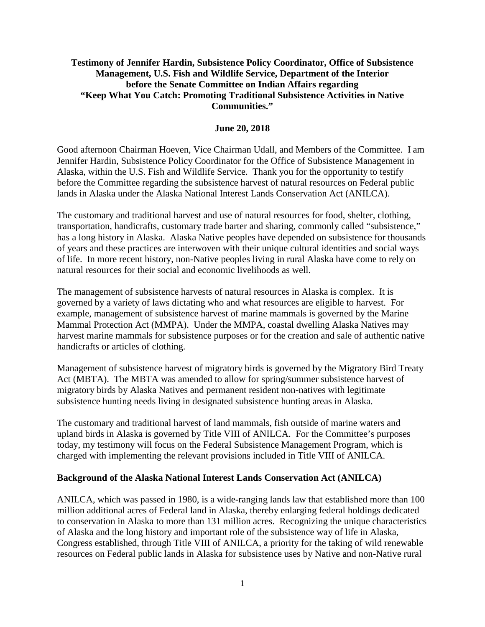### **Testimony of Jennifer Hardin, Subsistence Policy Coordinator, Office of Subsistence Management, U.S. Fish and Wildlife Service, Department of the Interior before the Senate Committee on Indian Affairs regarding "Keep What You Catch: Promoting Traditional Subsistence Activities in Native Communities."**

### **June 20, 2018**

Good afternoon Chairman Hoeven, Vice Chairman Udall, and Members of the Committee. I am Jennifer Hardin, Subsistence Policy Coordinator for the Office of Subsistence Management in Alaska, within the U.S. Fish and Wildlife Service. Thank you for the opportunity to testify before the Committee regarding the subsistence harvest of natural resources on Federal public lands in Alaska under the Alaska National Interest Lands Conservation Act (ANILCA).

The customary and traditional harvest and use of natural resources for food, shelter, clothing, transportation, handicrafts, customary trade barter and sharing, commonly called "subsistence," has a long history in Alaska. Alaska Native peoples have depended on subsistence for thousands of years and these practices are interwoven with their unique cultural identities and social ways of life. In more recent history, non-Native peoples living in rural Alaska have come to rely on natural resources for their social and economic livelihoods as well.

The management of subsistence harvests of natural resources in Alaska is complex. It is governed by a variety of laws dictating who and what resources are eligible to harvest. For example, management of subsistence harvest of marine mammals is governed by the Marine Mammal Protection Act (MMPA). Under the MMPA, coastal dwelling Alaska Natives may harvest marine mammals for subsistence purposes or for the creation and sale of authentic native handicrafts or articles of clothing.

Management of subsistence harvest of migratory birds is governed by the Migratory Bird Treaty Act (MBTA). The MBTA was amended to allow for spring/summer subsistence harvest of migratory birds by Alaska Natives and permanent resident non-natives with legitimate subsistence hunting needs living in designated subsistence hunting areas in Alaska.

The customary and traditional harvest of land mammals, fish outside of marine waters and upland birds in Alaska is governed by Title VIII of ANILCA. For the Committee's purposes today, my testimony will focus on the Federal Subsistence Management Program, which is charged with implementing the relevant provisions included in Title VIII of ANILCA.

#### **Background of the Alaska National Interest Lands Conservation Act (ANILCA)**

ANILCA, which was passed in 1980, is a wide-ranging lands law that established more than 100 million additional acres of Federal land in Alaska, thereby enlarging federal holdings dedicated to conservation in Alaska to more than 131 million acres. Recognizing the unique characteristics of Alaska and the long history and important role of the subsistence way of life in Alaska, Congress established, through Title VIII of ANILCA, a priority for the taking of wild renewable resources on Federal public lands in Alaska for subsistence uses by Native and non-Native rural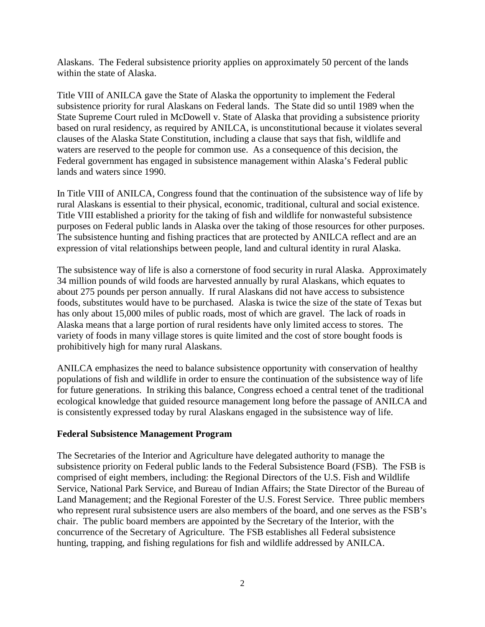Alaskans. The Federal subsistence priority applies on approximately 50 percent of the lands within the state of Alaska.

Title VIII of ANILCA gave the State of Alaska the opportunity to implement the Federal subsistence priority for rural Alaskans on Federal lands. The State did so until 1989 when the State Supreme Court ruled in McDowell v. State of Alaska that providing a subsistence priority based on rural residency, as required by ANILCA, is unconstitutional because it violates several clauses of the Alaska State Constitution, including a clause that says that fish, wildlife and waters are reserved to the people for common use. As a consequence of this decision, the Federal government has engaged in subsistence management within Alaska's Federal public lands and waters since 1990.

In Title VIII of ANILCA, Congress found that the continuation of the subsistence way of life by rural Alaskans is essential to their physical, economic, traditional, cultural and social existence. Title VIII established a priority for the taking of fish and wildlife for nonwasteful subsistence purposes on Federal public lands in Alaska over the taking of those resources for other purposes. The subsistence hunting and fishing practices that are protected by ANILCA reflect and are an expression of vital relationships between people, land and cultural identity in rural Alaska.

The subsistence way of life is also a cornerstone of food security in rural Alaska. Approximately 34 million pounds of wild foods are harvested annually by rural Alaskans, which equates to about 275 pounds per person annually. If rural Alaskans did not have access to subsistence foods, substitutes would have to be purchased. Alaska is twice the size of the state of Texas but has only about 15,000 miles of public roads, most of which are gravel. The lack of roads in Alaska means that a large portion of rural residents have only limited access to stores. The variety of foods in many village stores is quite limited and the cost of store bought foods is prohibitively high for many rural Alaskans.

ANILCA emphasizes the need to balance subsistence opportunity with conservation of healthy populations of fish and wildlife in order to ensure the continuation of the subsistence way of life for future generations. In striking this balance, Congress echoed a central tenet of the traditional ecological knowledge that guided resource management long before the passage of ANILCA and is consistently expressed today by rural Alaskans engaged in the subsistence way of life.

### **Federal Subsistence Management Program**

The Secretaries of the Interior and Agriculture have delegated authority to manage the subsistence priority on Federal public lands to the Federal Subsistence Board (FSB). The FSB is comprised of eight members, including: the Regional Directors of the U.S. Fish and Wildlife Service, National Park Service, and Bureau of Indian Affairs; the State Director of the Bureau of Land Management; and the Regional Forester of the U.S. Forest Service. Three public members who represent rural subsistence users are also members of the board, and one serves as the FSB's chair. The public board members are appointed by the Secretary of the Interior, with the concurrence of the Secretary of Agriculture. The FSB establishes all Federal subsistence hunting, trapping, and fishing regulations for fish and wildlife addressed by ANILCA.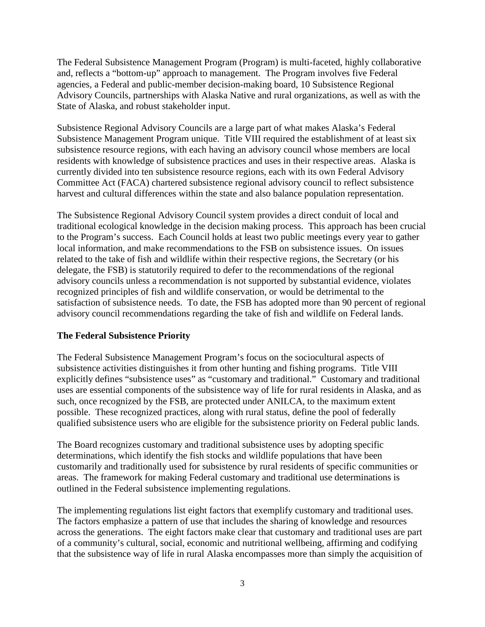The Federal Subsistence Management Program (Program) is multi-faceted, highly collaborative and, reflects a "bottom-up" approach to management. The Program involves five Federal agencies, a Federal and public-member decision-making board, 10 Subsistence Regional Advisory Councils, partnerships with Alaska Native and rural organizations, as well as with the State of Alaska, and robust stakeholder input.

Subsistence Regional Advisory Councils are a large part of what makes Alaska's Federal Subsistence Management Program unique. Title VIII required the establishment of at least six subsistence resource regions, with each having an advisory council whose members are local residents with knowledge of subsistence practices and uses in their respective areas. Alaska is currently divided into ten subsistence resource regions, each with its own Federal Advisory Committee Act (FACA) chartered subsistence regional advisory council to reflect subsistence harvest and cultural differences within the state and also balance population representation.

The Subsistence Regional Advisory Council system provides a direct conduit of local and traditional ecological knowledge in the decision making process. This approach has been crucial to the Program's success. Each Council holds at least two public meetings every year to gather local information, and make recommendations to the FSB on subsistence issues. On issues related to the take of fish and wildlife within their respective regions, the Secretary (or his delegate, the FSB) is statutorily required to defer to the recommendations of the regional advisory councils unless a recommendation is not supported by substantial evidence, violates recognized principles of fish and wildlife conservation, or would be detrimental to the satisfaction of subsistence needs. To date, the FSB has adopted more than 90 percent of regional advisory council recommendations regarding the take of fish and wildlife on Federal lands.

# **The Federal Subsistence Priority**

The Federal Subsistence Management Program's focus on the sociocultural aspects of subsistence activities distinguishes it from other hunting and fishing programs. Title VIII explicitly defines "subsistence uses" as "customary and traditional." Customary and traditional uses are essential components of the subsistence way of life for rural residents in Alaska, and as such, once recognized by the FSB, are protected under ANILCA, to the maximum extent possible. These recognized practices, along with rural status, define the pool of federally qualified subsistence users who are eligible for the subsistence priority on Federal public lands.

The Board recognizes customary and traditional subsistence uses by adopting specific determinations, which identify the fish stocks and wildlife populations that have been customarily and traditionally used for subsistence by rural residents of specific communities or areas. The framework for making Federal customary and traditional use determinations is outlined in the Federal subsistence implementing regulations.

The implementing regulations list eight factors that exemplify customary and traditional uses. The factors emphasize a pattern of use that includes the sharing of knowledge and resources across the generations. The eight factors make clear that customary and traditional uses are part of a community's cultural, social, economic and nutritional wellbeing, affirming and codifying that the subsistence way of life in rural Alaska encompasses more than simply the acquisition of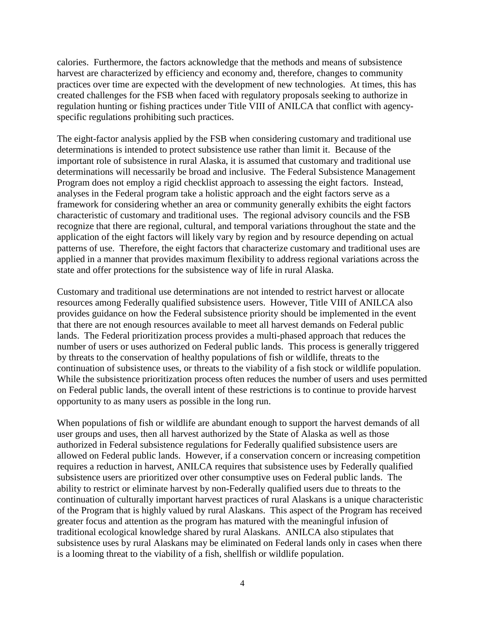calories. Furthermore, the factors acknowledge that the methods and means of subsistence harvest are characterized by efficiency and economy and, therefore, changes to community practices over time are expected with the development of new technologies. At times, this has created challenges for the FSB when faced with regulatory proposals seeking to authorize in regulation hunting or fishing practices under Title VIII of ANILCA that conflict with agencyspecific regulations prohibiting such practices.

The eight-factor analysis applied by the FSB when considering customary and traditional use determinations is intended to protect subsistence use rather than limit it. Because of the important role of subsistence in rural Alaska, it is assumed that customary and traditional use determinations will necessarily be broad and inclusive. The Federal Subsistence Management Program does not employ a rigid checklist approach to assessing the eight factors. Instead, analyses in the Federal program take a holistic approach and the eight factors serve as a framework for considering whether an area or community generally exhibits the eight factors characteristic of customary and traditional uses. The regional advisory councils and the FSB recognize that there are regional, cultural, and temporal variations throughout the state and the application of the eight factors will likely vary by region and by resource depending on actual patterns of use. Therefore, the eight factors that characterize customary and traditional uses are applied in a manner that provides maximum flexibility to address regional variations across the state and offer protections for the subsistence way of life in rural Alaska.

Customary and traditional use determinations are not intended to restrict harvest or allocate resources among Federally qualified subsistence users. However, Title VIII of ANILCA also provides guidance on how the Federal subsistence priority should be implemented in the event that there are not enough resources available to meet all harvest demands on Federal public lands. The Federal prioritization process provides a multi-phased approach that reduces the number of users or uses authorized on Federal public lands. This process is generally triggered by threats to the conservation of healthy populations of fish or wildlife, threats to the continuation of subsistence uses, or threats to the viability of a fish stock or wildlife population. While the subsistence prioritization process often reduces the number of users and uses permitted on Federal public lands, the overall intent of these restrictions is to continue to provide harvest opportunity to as many users as possible in the long run.

When populations of fish or wildlife are abundant enough to support the harvest demands of all user groups and uses, then all harvest authorized by the State of Alaska as well as those authorized in Federal subsistence regulations for Federally qualified subsistence users are allowed on Federal public lands. However, if a conservation concern or increasing competition requires a reduction in harvest, ANILCA requires that subsistence uses by Federally qualified subsistence users are prioritized over other consumptive uses on Federal public lands. The ability to restrict or eliminate harvest by non-Federally qualified users due to threats to the continuation of culturally important harvest practices of rural Alaskans is a unique characteristic of the Program that is highly valued by rural Alaskans. This aspect of the Program has received greater focus and attention as the program has matured with the meaningful infusion of traditional ecological knowledge shared by rural Alaskans. ANILCA also stipulates that subsistence uses by rural Alaskans may be eliminated on Federal lands only in cases when there is a looming threat to the viability of a fish, shellfish or wildlife population.